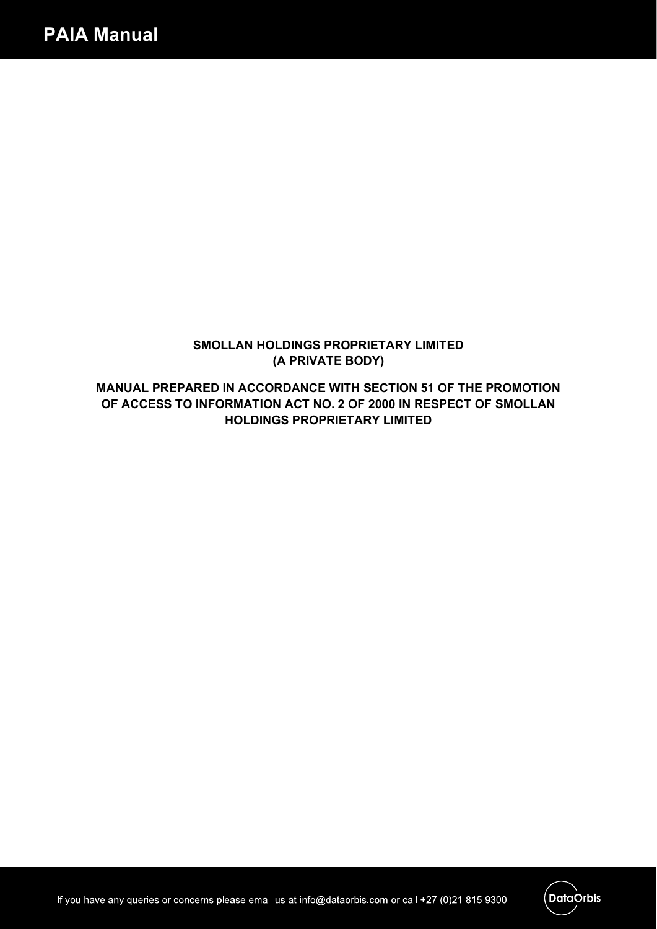## **SMOLLAN HOLDINGS PROPRIETARY LIMITED (A PRIVATE BODY)**

**MANUAL PREPARED IN ACCORDANCE WITH SECTION 51 OF THE PROMOTION OF ACCESS TO INFORMATION ACT NO. 2 OF 2000 IN RESPECT OF SMOLLAN HOLDINGS PROPRIETARY LIMITED**

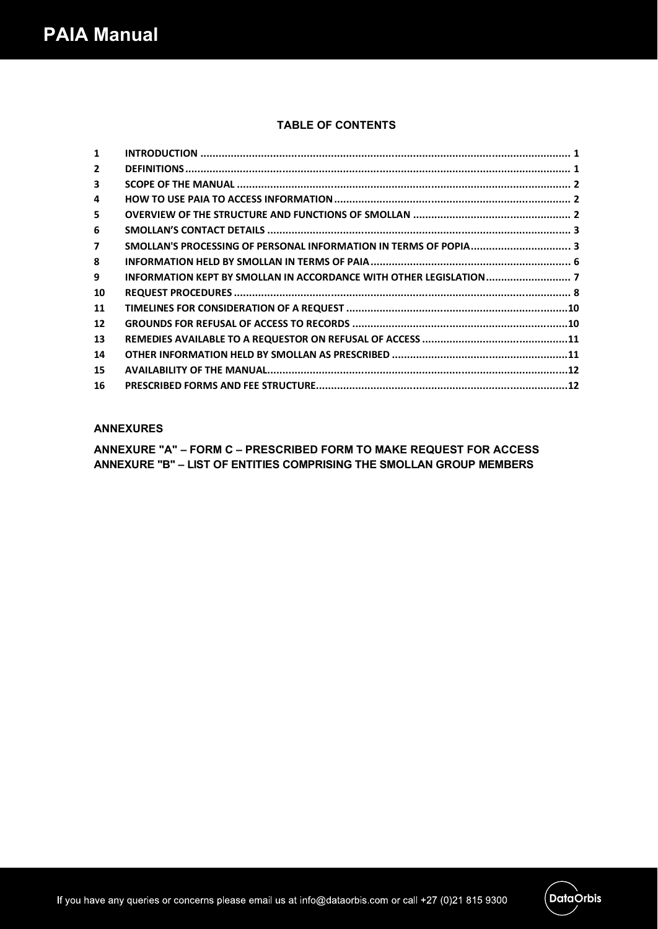## **TABLE OF CONTENTS**

| $\mathbf{1}$            |  |
|-------------------------|--|
| $\mathbf{2}$            |  |
| 3                       |  |
| 4                       |  |
| 5                       |  |
| 6                       |  |
| $\overline{\mathbf{z}}$ |  |
| 8                       |  |
| 9                       |  |
| 10                      |  |
| 11                      |  |
| $12 \overline{ }$       |  |
| 13                      |  |
| 14                      |  |
| 15                      |  |
| 16                      |  |

## **ANNEXURES**

**ANNEXURE "A" – FORM C – PRESCRIBED FORM TO MAKE REQUEST FOR ACCESS ANNEXURE "B" – LIST OF ENTITIES COMPRISING THE SMOLLAN GROUP MEMBERS**

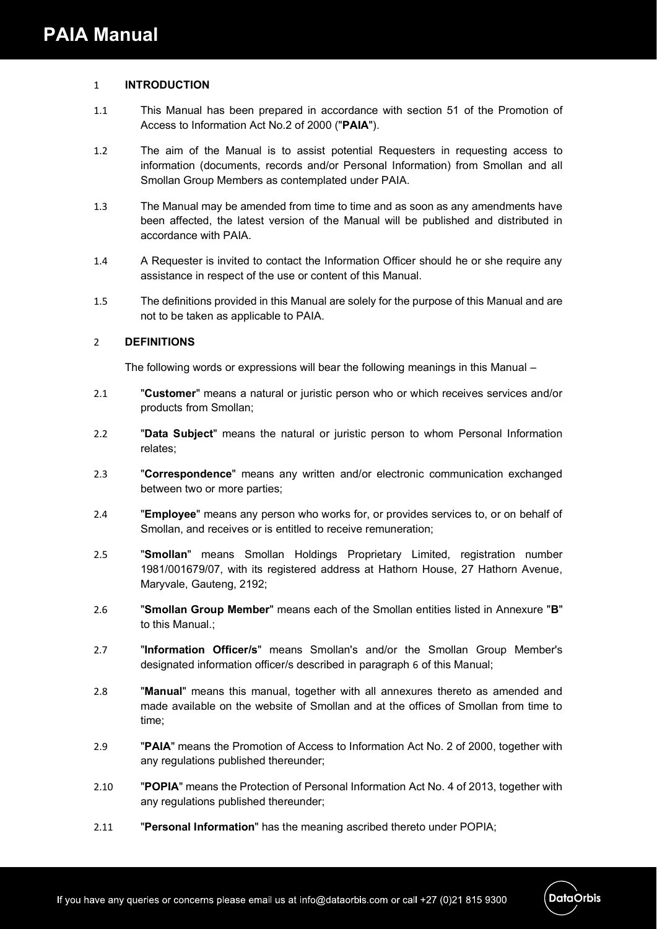### 1 **INTRODUCTION**

- 1.1 This Manual has been prepared in accordance with section 51 of the Promotion of Access to Information Act No.2 of 2000 ("**PAIA**").
- 1.2 The aim of the Manual is to assist potential Requesters in requesting access to information (documents, records and/or Personal Information) from Smollan and all Smollan Group Members as contemplated under PAIA.
- 1.3 The Manual may be amended from time to time and as soon as any amendments have been affected, the latest version of the Manual will be published and distributed in accordance with PAIA.
- 1.4 A Requester is invited to contact the Information Officer should he or she require any assistance in respect of the use or content of this Manual.
- 1.5 The definitions provided in this Manual are solely for the purpose of this Manual and are not to be taken as applicable to PAIA.

## 2 **DEFINITIONS**

The following words or expressions will bear the following meanings in this Manual –

- 2.1 "**Customer**" means a natural or juristic person who or which receives services and/or products from Smollan;
- 2.2 "**Data Subject**" means the natural or juristic person to whom Personal Information relates;
- 2.3 "**Correspondence**" means any written and/or electronic communication exchanged between two or more parties;
- 2.4 "**Employee**" means any person who works for, or provides services to, or on behalf of Smollan, and receives or is entitled to receive remuneration;
- 2.5 "**Smollan**" means Smollan Holdings Proprietary Limited, registration number 1981/001679/07, with its registered address at Hathorn House, 27 Hathorn Avenue, Maryvale, Gauteng, 2192;
- 2.6 "**Smollan Group Member**" means each of the Smollan entities listed in Annexure "**B**" to this Manual.;
- 2.7 "**Information Officer/s**" means Smollan's and/or the Smollan Group Member's designated information officer/s described in paragraph 6 of this Manual;
- 2.8 "**Manual**" means this manual, together with all annexures thereto as amended and made available on the website of Smollan and at the offices of Smollan from time to time;
- 2.9 "**PAIA**" means the Promotion of Access to Information Act No. 2 of 2000, together with any regulations published thereunder;
- 2.10 "**POPIA**" means the Protection of Personal Information Act No. 4 of 2013, together with any regulations published thereunder;
- 2.11 "**Personal Information**" has the meaning ascribed thereto under POPIA;

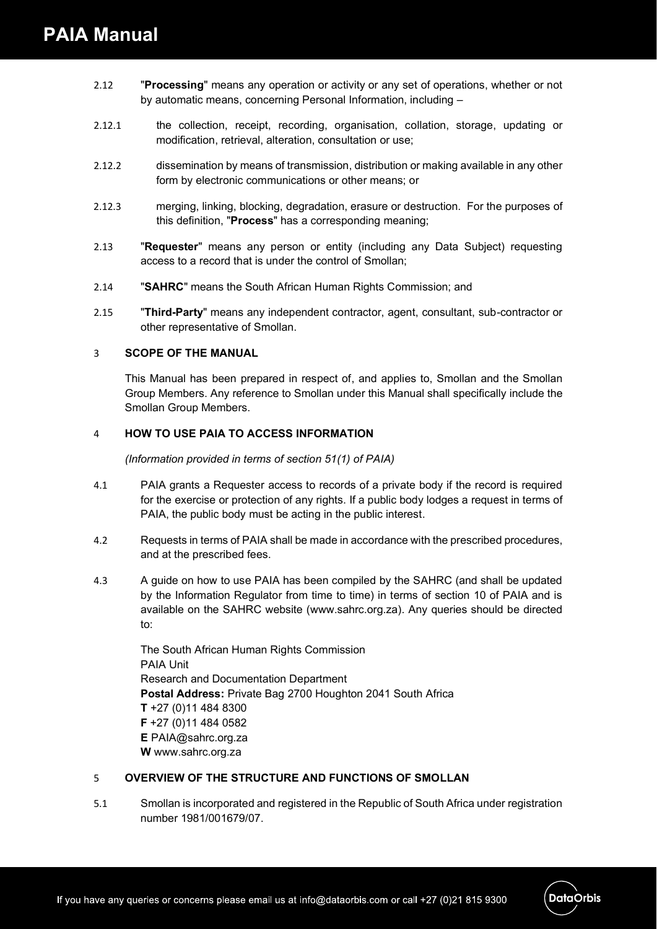- 2.12 "**Processing**" means any operation or activity or any set of operations, whether or not by automatic means, concerning Personal Information, including –
- 2.12.1 the collection, receipt, recording, organisation, collation, storage, updating or modification, retrieval, alteration, consultation or use;
- 2.12.2 dissemination by means of transmission, distribution or making available in any other form by electronic communications or other means; or
- 2.12.3 merging, linking, blocking, degradation, erasure or destruction. For the purposes of this definition, "**Process**" has a corresponding meaning;
- 2.13 "**Requester**" means any person or entity (including any Data Subject) requesting access to a record that is under the control of Smollan;
- 2.14 "**SAHRC**" means the South African Human Rights Commission; and
- 2.15 "**Third-Party**" means any independent contractor, agent, consultant, sub-contractor or other representative of Smollan.

#### 3 **SCOPE OF THE MANUAL**

This Manual has been prepared in respect of, and applies to, Smollan and the Smollan Group Members. Any reference to Smollan under this Manual shall specifically include the Smollan Group Members.

#### 4 **HOW TO USE PAIA TO ACCESS INFORMATION**

*(Information provided in terms of section 51(1) of PAIA)*

- 4.1 PAIA grants a Requester access to records of a private body if the record is required for the exercise or protection of any rights. If a public body lodges a request in terms of PAIA, the public body must be acting in the public interest.
- 4.2 Requests in terms of PAIA shall be made in accordance with the prescribed procedures, and at the prescribed fees.
- 4.3 A guide on how to use PAIA has been compiled by the SAHRC (and shall be updated by the Information Regulator from time to time) in terms of section 10 of PAIA and is available on the SAHRC website (www.sahrc.org.za). Any queries should be directed to:

The South African Human Rights Commission PAIA Unit Research and Documentation Department **Postal Address:** Private Bag 2700 Houghton 2041 South Africa **T** +27 (0)11 484 8300 **F** +27 (0)11 484 0582 **E** PAIA@sahrc.org.za **W** www.sahrc.org.za

## 5 **OVERVIEW OF THE STRUCTURE AND FUNCTIONS OF SMOLLAN**

5.1 Smollan is incorporated and registered in the Republic of South Africa under registration number 1981/001679/07.

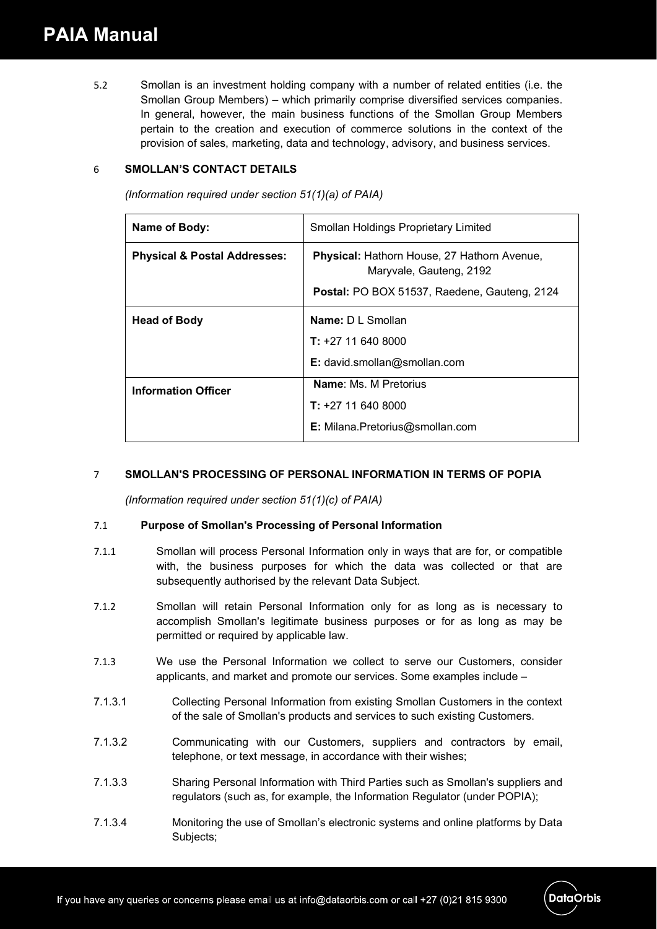5.2 Smollan is an investment holding company with a number of related entities (i.e. the Smollan Group Members) – which primarily comprise diversified services companies. In general, however, the main business functions of the Smollan Group Members pertain to the creation and execution of commerce solutions in the context of the provision of sales, marketing, data and technology, advisory, and business services.

## 6 **SMOLLAN'S CONTACT DETAILS**

*(Information required under section 51(1)(a) of PAIA)*

| Name of Body:                           | Smollan Holdings Proprietary Limited                                   |  |  |
|-----------------------------------------|------------------------------------------------------------------------|--|--|
| <b>Physical &amp; Postal Addresses:</b> | Physical: Hathorn House, 27 Hathorn Avenue,<br>Maryvale, Gauteng, 2192 |  |  |
|                                         | <b>Postal:</b> PO BOX 51537, Raedene, Gauteng, 2124                    |  |  |
| <b>Head of Body</b>                     | Name: D L Smollan                                                      |  |  |
|                                         | $T: +27116408000$                                                      |  |  |
|                                         | E: david.smollan@smollan.com                                           |  |  |
| <b>Information Officer</b>              | <b>Name: Ms. M Pretorius</b>                                           |  |  |
|                                         | $T: +27116408000$                                                      |  |  |
|                                         | <b>E:</b> Milana. Pretorius@smollan.com                                |  |  |

## 7 **SMOLLAN'S PROCESSING OF PERSONAL INFORMATION IN TERMS OF POPIA**

*(Information required under section 51(1)(c) of PAIA)*

## 7.1 **Purpose of Smollan's Processing of Personal Information**

- 7.1.1 Smollan will process Personal Information only in ways that are for, or compatible with, the business purposes for which the data was collected or that are subsequently authorised by the relevant Data Subject.
- 7.1.2 Smollan will retain Personal Information only for as long as is necessary to accomplish Smollan's legitimate business purposes or for as long as may be permitted or required by applicable law.
- 7.1.3 We use the Personal Information we collect to serve our Customers, consider applicants, and market and promote our services. Some examples include –
- 7.1.3.1 Collecting Personal Information from existing Smollan Customers in the context of the sale of Smollan's products and services to such existing Customers.
- 7.1.3.2 Communicating with our Customers, suppliers and contractors by email, telephone, or text message, in accordance with their wishes;
- 7.1.3.3 Sharing Personal Information with Third Parties such as Smollan's suppliers and regulators (such as, for example, the Information Regulator (under POPIA);
- 7.1.3.4 Monitoring the use of Smollan's electronic systems and online platforms by Data Subjects;

**DataOrbis**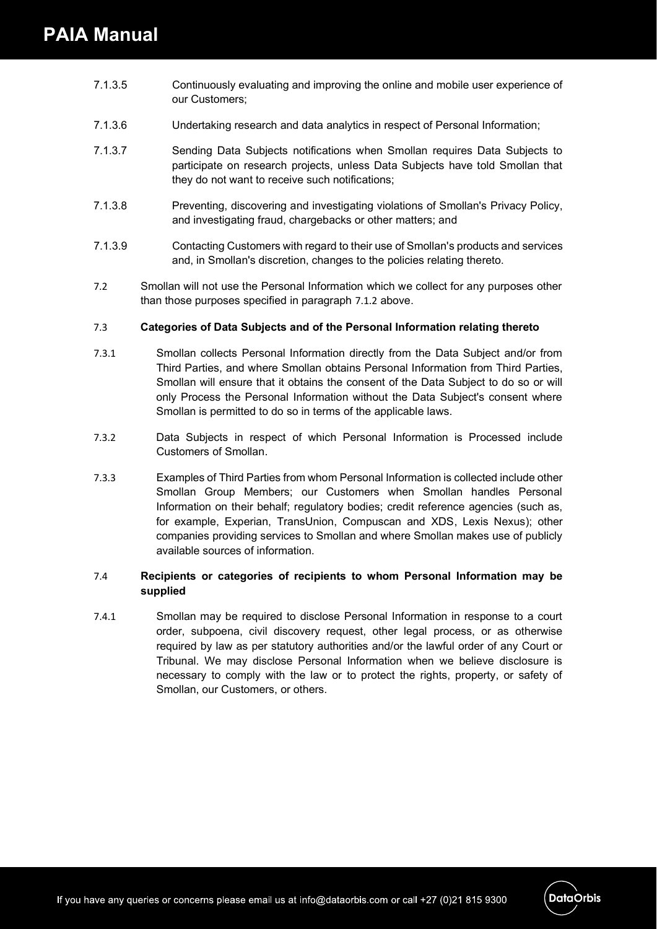- 7.1.3.5 Continuously evaluating and improving the online and mobile user experience of our Customers;
- 7.1.3.6 Undertaking research and data analytics in respect of Personal Information;
- 7.1.3.7 Sending Data Subjects notifications when Smollan requires Data Subjects to participate on research projects, unless Data Subjects have told Smollan that they do not want to receive such notifications;
- 7.1.3.8 Preventing, discovering and investigating violations of Smollan's Privacy Policy, and investigating fraud, chargebacks or other matters; and
- 7.1.3.9 Contacting Customers with regard to their use of Smollan's products and services and, in Smollan's discretion, changes to the policies relating thereto.
- 7.2 Smollan will not use the Personal Information which we collect for any purposes other than those purposes specified in paragraph 7.1.2 above.

## 7.3 **Categories of Data Subjects and of the Personal Information relating thereto**

- 7.3.1 Smollan collects Personal Information directly from the Data Subject and/or from Third Parties, and where Smollan obtains Personal Information from Third Parties, Smollan will ensure that it obtains the consent of the Data Subject to do so or will only Process the Personal Information without the Data Subject's consent where Smollan is permitted to do so in terms of the applicable laws.
- 7.3.2 Data Subjects in respect of which Personal Information is Processed include Customers of Smollan.
- 7.3.3 Examples of Third Parties from whom Personal Information is collected include other Smollan Group Members; our Customers when Smollan handles Personal Information on their behalf; regulatory bodies; credit reference agencies (such as, for example, Experian, TransUnion, Compuscan and XDS, Lexis Nexus); other companies providing services to Smollan and where Smollan makes use of publicly available sources of information.

## 7.4 **Recipients or categories of recipients to whom Personal Information may be supplied**

7.4.1 Smollan may be required to disclose Personal Information in response to a court order, subpoena, civil discovery request, other legal process, or as otherwise required by law as per statutory authorities and/or the lawful order of any Court or Tribunal. We may disclose Personal Information when we believe disclosure is necessary to comply with the law or to protect the rights, property, or safety of Smollan, our Customers, or others.

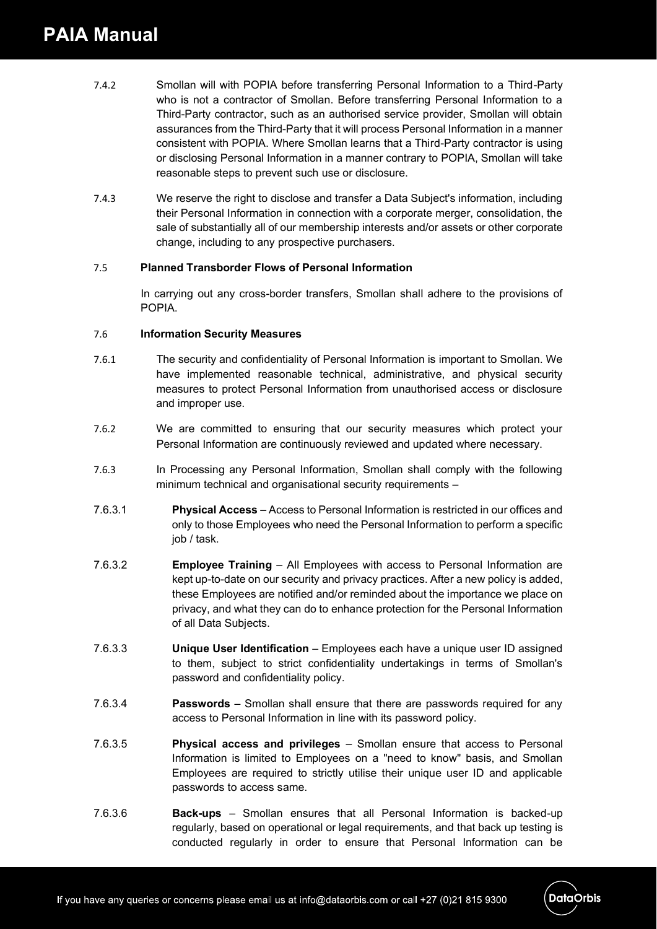- 7.4.2 Smollan will with POPIA before transferring Personal Information to a Third-Party who is not a contractor of Smollan. Before transferring Personal Information to a Third-Party contractor, such as an authorised service provider, Smollan will obtain assurances from the Third-Party that it will process Personal Information in a manner consistent with POPIA. Where Smollan learns that a Third-Party contractor is using or disclosing Personal Information in a manner contrary to POPIA, Smollan will take reasonable steps to prevent such use or disclosure.
- 7.4.3 We reserve the right to disclose and transfer a Data Subject's information, including their Personal Information in connection with a corporate merger, consolidation, the sale of substantially all of our membership interests and/or assets or other corporate change, including to any prospective purchasers.

## 7.5 **Planned Transborder Flows of Personal Information**

In carrying out any cross-border transfers, Smollan shall adhere to the provisions of POPIA.

#### 7.6 **Information Security Measures**

- 7.6.1 The security and confidentiality of Personal Information is important to Smollan. We have implemented reasonable technical, administrative, and physical security measures to protect Personal Information from unauthorised access or disclosure and improper use.
- 7.6.2 We are committed to ensuring that our security measures which protect your Personal Information are continuously reviewed and updated where necessary.
- 7.6.3 In Processing any Personal Information, Smollan shall comply with the following minimum technical and organisational security requirements –
- 7.6.3.1 **Physical Access** Access to Personal Information is restricted in our offices and only to those Employees who need the Personal Information to perform a specific job / task.
- 7.6.3.2 **Employee Training** All Employees with access to Personal Information are kept up-to-date on our security and privacy practices. After a new policy is added, these Employees are notified and/or reminded about the importance we place on privacy, and what they can do to enhance protection for the Personal Information of all Data Subjects.
- 7.6.3.3 **Unique User Identification** Employees each have a unique user ID assigned to them, subject to strict confidentiality undertakings in terms of Smollan's password and confidentiality policy.
- 7.6.3.4 **Passwords** Smollan shall ensure that there are passwords required for any access to Personal Information in line with its password policy.
- 7.6.3.5 **Physical access and privileges** Smollan ensure that access to Personal Information is limited to Employees on a "need to know" basis, and Smollan Employees are required to strictly utilise their unique user ID and applicable passwords to access same.
- 7.6.3.6 **Back-ups** Smollan ensures that all Personal Information is backed-up regularly, based on operational or legal requirements, and that back up testing is conducted regularly in order to ensure that Personal Information can be

**DataOrbis**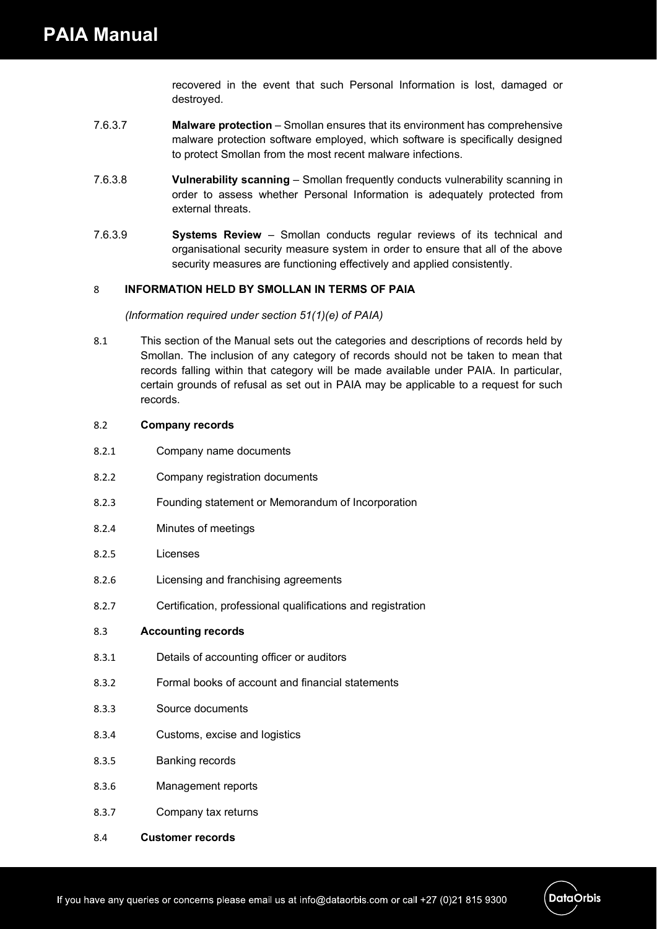recovered in the event that such Personal Information is lost, damaged or destroyed.

- 7.6.3.7 **Malware protection** Smollan ensures that its environment has comprehensive malware protection software employed, which software is specifically designed to protect Smollan from the most recent malware infections.
- 7.6.3.8 **Vulnerability scanning** Smollan frequently conducts vulnerability scanning in order to assess whether Personal Information is adequately protected from external threats.
- 7.6.3.9 **Systems Review** Smollan conducts regular reviews of its technical and organisational security measure system in order to ensure that all of the above security measures are functioning effectively and applied consistently.

## 8 **INFORMATION HELD BY SMOLLAN IN TERMS OF PAIA**

*(Information required under section 51(1)(e) of PAIA)*

8.1 This section of the Manual sets out the categories and descriptions of records held by Smollan. The inclusion of any category of records should not be taken to mean that records falling within that category will be made available under PAIA. In particular, certain grounds of refusal as set out in PAIA may be applicable to a request for such records.

#### 8.2 **Company records**

- 8.2.1 Company name documents
- 8.2.2 Company registration documents
- 8.2.3 Founding statement or Memorandum of Incorporation
- 8.2.4 Minutes of meetings
- 8.2.5 Licenses
- 8.2.6 Licensing and franchising agreements
- 8.2.7 Certification, professional qualifications and registration

#### 8.3 **Accounting records**

- 8.3.1 Details of accounting officer or auditors
- 8.3.2 Formal books of account and financial statements
- 8.3.3 Source documents
- 8.3.4 Customs, excise and logistics
- 8.3.5 Banking records
- 8.3.6 Management reports
- 8.3.7 Company tax returns
- 8.4 **Customer records**

**DataOrbis**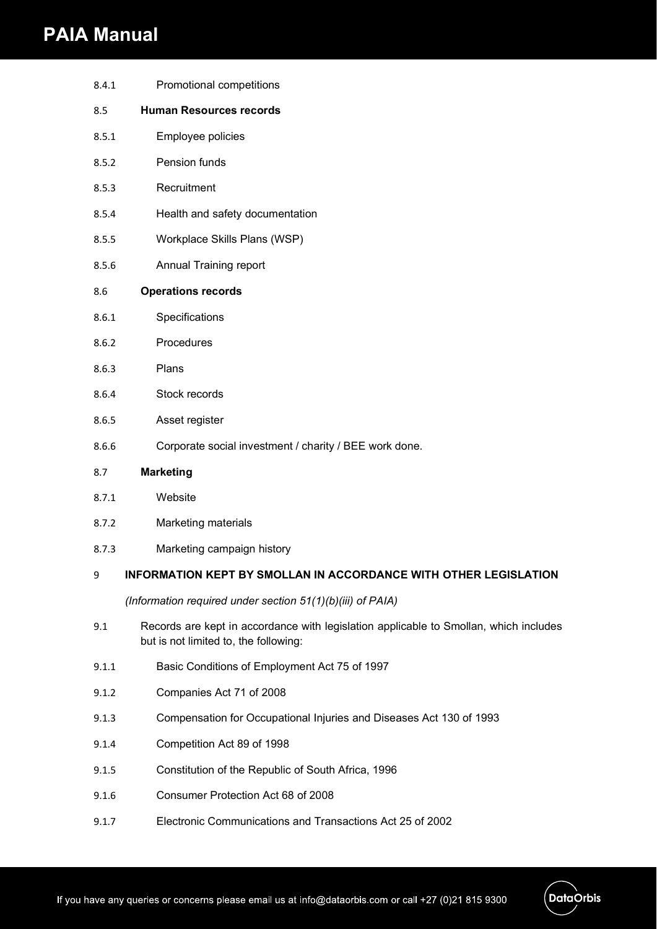## **PAIA Manual**

| 8.4.1 | Promotional competitions                               |
|-------|--------------------------------------------------------|
| 8.5   | <b>Human Resources records</b>                         |
| 8.5.1 | Employee policies                                      |
| 8.5.2 | Pension funds                                          |
| 8.5.3 | Recruitment                                            |
| 8.5.4 | Health and safety documentation                        |
| 8.5.5 | Workplace Skills Plans (WSP)                           |
| 8.5.6 | Annual Training report                                 |
| 8.6   | <b>Operations records</b>                              |
| 8.6.1 | Specifications                                         |
| 8.6.2 | Procedures                                             |
| 8.6.3 | Plans                                                  |
| 8.6.4 | Stock records                                          |
| 8.6.5 | Asset register                                         |
| 8.6.6 | Corporate social investment / charity / BEE work done. |
| 8.7   | <b>Marketing</b>                                       |
| 8.7.1 | Website                                                |

- 8.7.2 Marketing materials
- 8.7.3 Marketing campaign history

## 9 **INFORMATION KEPT BY SMOLLAN IN ACCORDANCE WITH OTHER LEGISLATION**

*(Information required under section 51(1)(b)(iii) of PAIA)*

- 9.1 Records are kept in accordance with legislation applicable to Smollan, which includes but is not limited to, the following:
- 9.1.1 Basic Conditions of Employment Act 75 of 1997
- 9.1.2 Companies Act 71 of 2008
- 9.1.3 Compensation for Occupational Injuries and Diseases Act 130 of 1993
- 9.1.4 Competition Act 89 of 1998
- 9.1.5 Constitution of the Republic of South Africa, 1996
- 9.1.6 Consumer Protection Act 68 of 2008
- 9.1.7 Electronic Communications and Transactions Act 25 of 2002

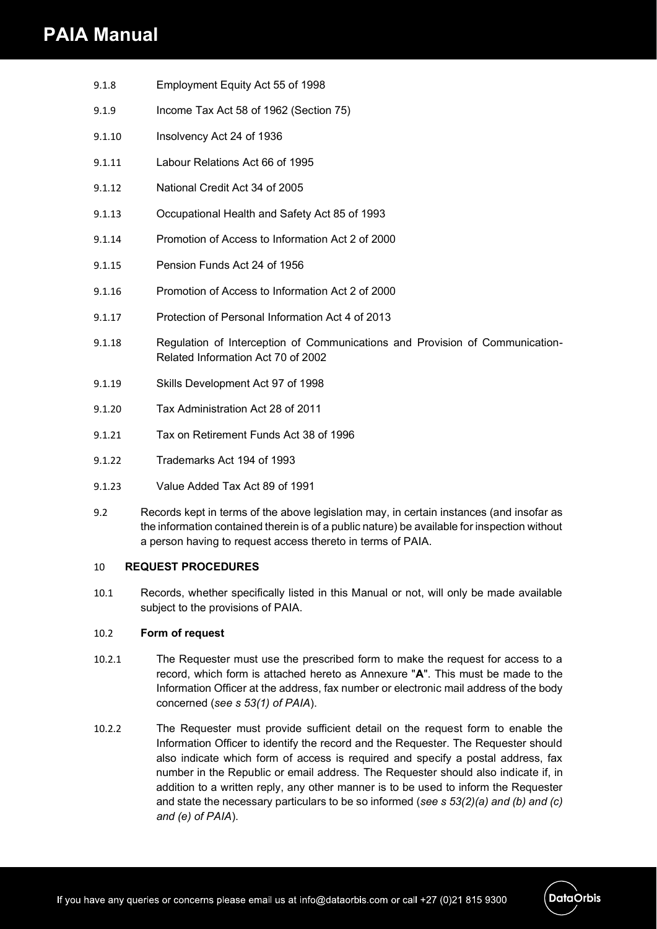## **PAIA Manual**

- 9.1.8 Employment Equity Act 55 of 1998
- 9.1.9 Income Tax Act 58 of 1962 (Section 75)
- 9.1.10 Insolvency Act 24 of 1936
- 9.1.11 Labour Relations Act 66 of 1995
- 9.1.12 National Credit Act 34 of 2005
- 9.1.13 Occupational Health and Safety Act 85 of 1993
- 9.1.14 Promotion of Access to Information Act 2 of 2000
- 9.1.15 Pension Funds Act 24 of 1956
- 9.1.16 Promotion of Access to Information Act 2 of 2000
- 9.1.17 Protection of Personal Information Act 4 of 2013
- 9.1.18 Regulation of Interception of Communications and Provision of Communication-Related Information Act 70 of 2002
- 9.1.19 Skills Development Act 97 of 1998
- 9.1.20 Tax Administration Act 28 of 2011
- 9.1.21 Tax on Retirement Funds Act 38 of 1996
- 9.1.22 Trademarks Act 194 of 1993
- 9.1.23 Value Added Tax Act 89 of 1991
- 9.2 Records kept in terms of the above legislation may, in certain instances (and insofar as the information contained therein is of a public nature) be available for inspection without a person having to request access thereto in terms of PAIA.

## 10 **REQUEST PROCEDURES**

10.1 Records, whether specifically listed in this Manual or not, will only be made available subject to the provisions of PAIA.

## 10.2 **Form of request**

- 10.2.1 The Requester must use the prescribed form to make the request for access to a record, which form is attached hereto as Annexure "**A**". This must be made to the Information Officer at the address, fax number or electronic mail address of the body concerned (*see s 53(1) of PAIA*).
- 10.2.2 The Requester must provide sufficient detail on the request form to enable the Information Officer to identify the record and the Requester. The Requester should also indicate which form of access is required and specify a postal address, fax number in the Republic or email address. The Requester should also indicate if, in addition to a written reply, any other manner is to be used to inform the Requester and state the necessary particulars to be so informed (*see s 53(2)(a) and (b) and (c) and (e) of PAIA*).

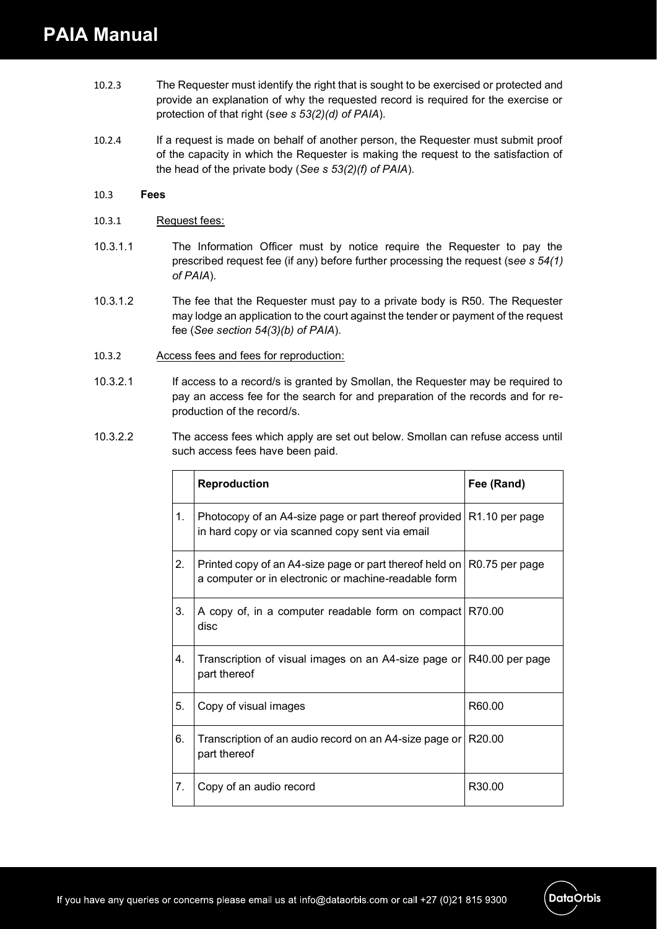- 10.2.3 The Requester must identify the right that is sought to be exercised or protected and provide an explanation of why the requested record is required for the exercise or protection of that right (s*ee s 53(2)(d) of PAIA*).
- 10.2.4 If a request is made on behalf of another person, the Requester must submit proof of the capacity in which the Requester is making the request to the satisfaction of the head of the private body (*See s 53(2)(f) of PAIA*).

### 10.3 **Fees**

- 10.3.1 Request fees:
- 10.3.1.1 The Information Officer must by notice require the Requester to pay the prescribed request fee (if any) before further processing the request (s*ee s 54(1) of PAIA*).
- 10.3.1.2 The fee that the Requester must pay to a private body is R50. The Requester may lodge an application to the court against the tender or payment of the request fee (*See section 54(3)(b) of PAIA*).
- 10.3.2 Access fees and fees for reproduction:
- 10.3.2.1 If access to a record/s is granted by Smollan, the Requester may be required to pay an access fee for the search for and preparation of the records and for reproduction of the record/s.
- 10.3.2.2 The access fees which apply are set out below. Smollan can refuse access until such access fees have been paid.

|    | <b>Reproduction</b>                                                                                                              | Fee (Rand)         |
|----|----------------------------------------------------------------------------------------------------------------------------------|--------------------|
| 1. | Photocopy of an A4-size page or part thereof provided R1.10 per page<br>in hard copy or via scanned copy sent via email          |                    |
| 2. | Printed copy of an A4-size page or part thereof held on   R0.75 per page<br>a computer or in electronic or machine-readable form |                    |
| 3. | A copy of, in a computer readable form on compact R70.00<br>disc                                                                 |                    |
| 4. | Transcription of visual images on an A4-size page or R40.00 per page<br>part thereof                                             |                    |
| 5. | Copy of visual images                                                                                                            | R60.00             |
| 6. | Transcription of an audio record on an A4-size page or<br>part thereof                                                           | R20.00             |
| 7. | Copy of an audio record                                                                                                          | R <sub>30.00</sub> |

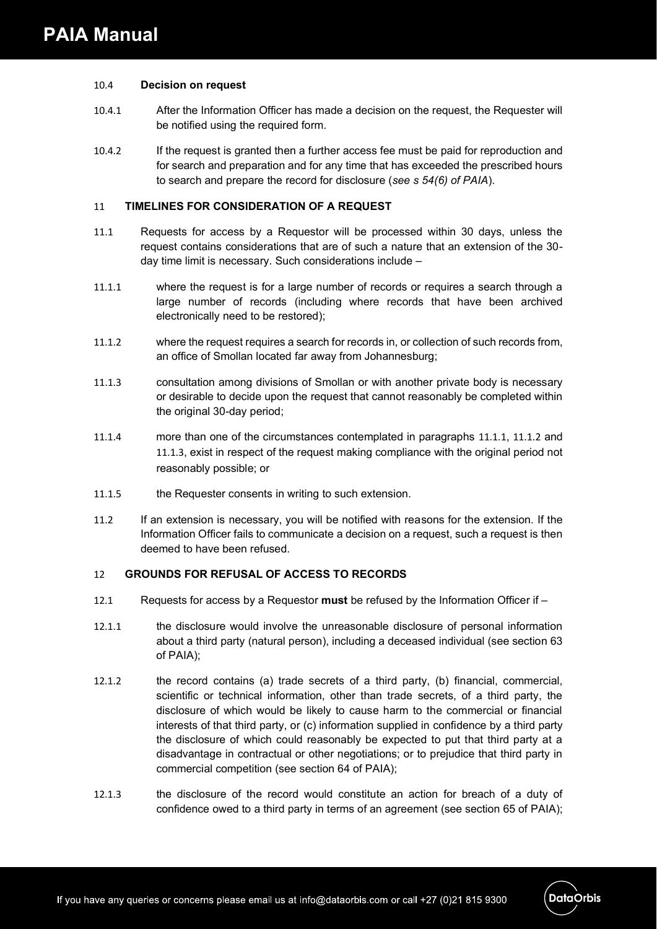#### 10.4 **Decision on request**

- 10.4.1 After the Information Officer has made a decision on the request, the Requester will be notified using the required form.
- 10.4.2 If the request is granted then a further access fee must be paid for reproduction and for search and preparation and for any time that has exceeded the prescribed hours to search and prepare the record for disclosure (*see s 54(6) of PAIA*).

#### 11 **TIMELINES FOR CONSIDERATION OF A REQUEST**

- 11.1 Requests for access by a Requestor will be processed within 30 days, unless the request contains considerations that are of such a nature that an extension of the 30 day time limit is necessary. Such considerations include –
- 11.1.1 where the request is for a large number of records or requires a search through a large number of records (including where records that have been archived electronically need to be restored);
- 11.1.2 where the request requires a search for records in, or collection of such records from, an office of Smollan located far away from Johannesburg;
- 11.1.3 consultation among divisions of Smollan or with another private body is necessary or desirable to decide upon the request that cannot reasonably be completed within the original 30-day period;
- 11.1.4 more than one of the circumstances contemplated in paragraphs 11.1.1, 11.1.2 and 11.1.3, exist in respect of the request making compliance with the original period not reasonably possible; or
- 11.1.5 the Requester consents in writing to such extension.
- 11.2 If an extension is necessary, you will be notified with reasons for the extension. If the Information Officer fails to communicate a decision on a request, such a request is then deemed to have been refused.

## 12 **GROUNDS FOR REFUSAL OF ACCESS TO RECORDS**

- 12.1 Requests for access by a Requestor **must** be refused by the Information Officer if –
- 12.1.1 the disclosure would involve the unreasonable disclosure of personal information about a third party (natural person), including a deceased individual (see section 63 of PAIA);
- 12.1.2 the record contains (a) trade secrets of a third party, (b) financial, commercial, scientific or technical information, other than trade secrets, of a third party, the disclosure of which would be likely to cause harm to the commercial or financial interests of that third party, or (c) information supplied in confidence by a third party the disclosure of which could reasonably be expected to put that third party at a disadvantage in contractual or other negotiations; or to prejudice that third party in commercial competition (see section 64 of PAIA);
- 12.1.3 the disclosure of the record would constitute an action for breach of a duty of confidence owed to a third party in terms of an agreement (see section 65 of PAIA);

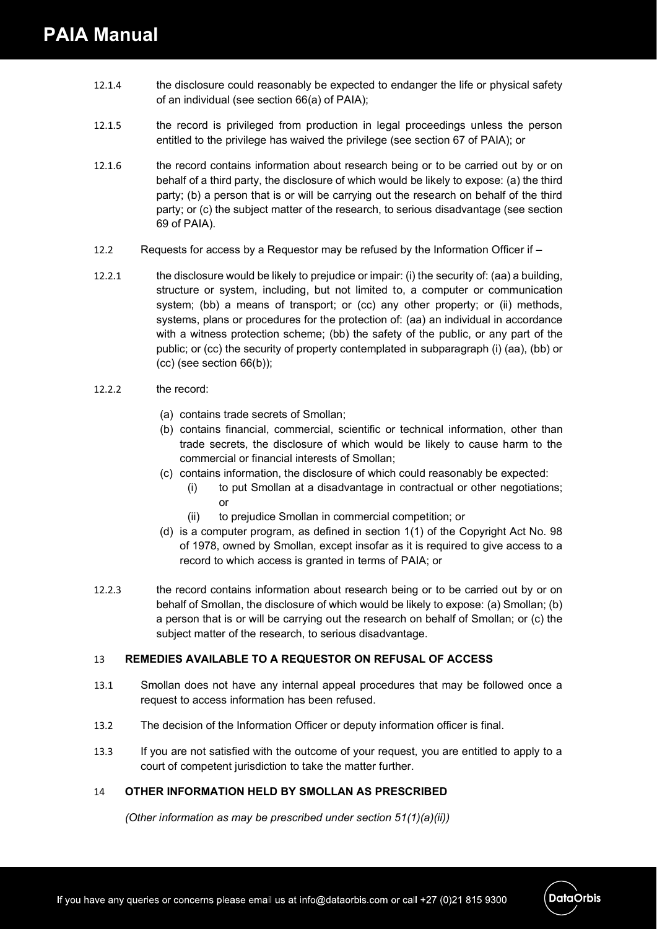- 12.1.4 the disclosure could reasonably be expected to endanger the life or physical safety of an individual (see section 66(a) of PAIA);
- 12.1.5 the record is privileged from production in legal proceedings unless the person entitled to the privilege has waived the privilege (see section 67 of PAIA); or
- 12.1.6 the record contains information about research being or to be carried out by or on behalf of a third party, the disclosure of which would be likely to expose: (a) the third party; (b) a person that is or will be carrying out the research on behalf of the third party; or (c) the subject matter of the research, to serious disadvantage (see section 69 of PAIA).
- 12.2 Requests for access by a Requestor may be refused by the Information Officer if –
- 12.2.1 the disclosure would be likely to prejudice or impair: (i) the security of: (aa) a building, structure or system, including, but not limited to, a computer or communication system; (bb) a means of transport; or (cc) any other property; or (ii) methods, systems, plans or procedures for the protection of: (aa) an individual in accordance with a witness protection scheme; (bb) the safety of the public, or any part of the public; or (cc) the security of property contemplated in subparagraph (i) (aa), (bb) or (cc) (see section 66(b));
- 12.2.2 the record:
	- (a) contains trade secrets of Smollan;
	- (b) contains financial, commercial, scientific or technical information, other than trade secrets, the disclosure of which would be likely to cause harm to the commercial or financial interests of Smollan;
	- (c) contains information, the disclosure of which could reasonably be expected:
		- (i) to put Smollan at a disadvantage in contractual or other negotiations; or
		- (ii) to prejudice Smollan in commercial competition; or
	- (d) is a computer program, as defined in section 1(1) of the Copyright Act No. 98 of 1978, owned by Smollan, except insofar as it is required to give access to a record to which access is granted in terms of PAIA; or
- 12.2.3 the record contains information about research being or to be carried out by or on behalf of Smollan, the disclosure of which would be likely to expose: (a) Smollan; (b) a person that is or will be carrying out the research on behalf of Smollan; or (c) the subject matter of the research, to serious disadvantage.

## 13 **REMEDIES AVAILABLE TO A REQUESTOR ON REFUSAL OF ACCESS**

- 13.1 Smollan does not have any internal appeal procedures that may be followed once a request to access information has been refused.
- 13.2 The decision of the Information Officer or deputy information officer is final.
- 13.3 If you are not satisfied with the outcome of your request, you are entitled to apply to a court of competent jurisdiction to take the matter further.

## 14 **OTHER INFORMATION HELD BY SMOLLAN AS PRESCRIBED**

*(Other information as may be prescribed under section 51(1)(a)(ii))*

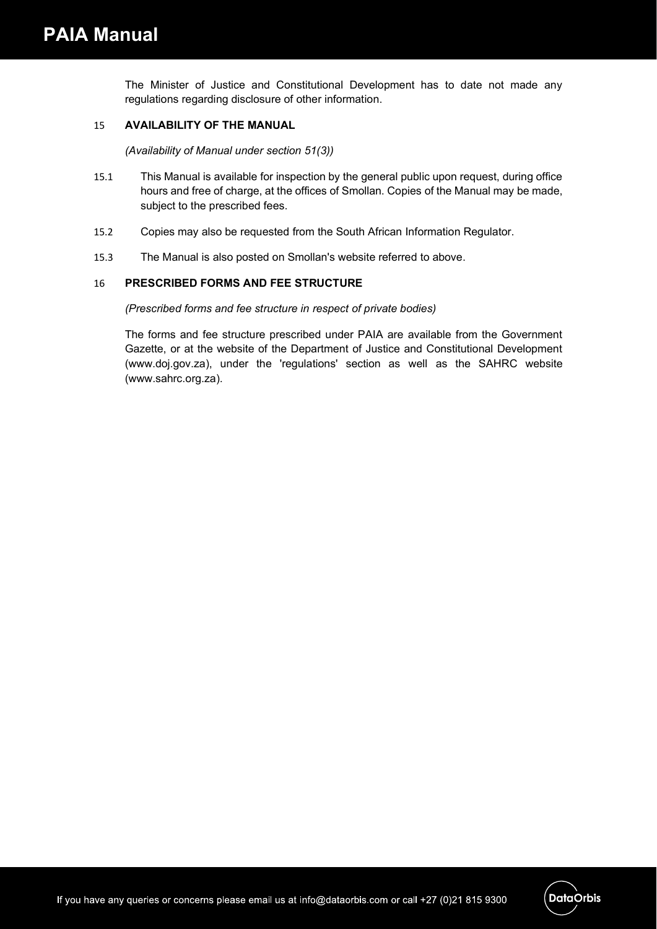The Minister of Justice and Constitutional Development has to date not made any regulations regarding disclosure of other information.

## 15 **AVAILABILITY OF THE MANUAL**

*(Availability of Manual under section 51(3))*

- 15.1 This Manual is available for inspection by the general public upon request, during office hours and free of charge, at the offices of Smollan. Copies of the Manual may be made, subject to the prescribed fees.
- 15.2 Copies may also be requested from the South African Information Regulator.
- 15.3 The Manual is also posted on Smollan's website referred to above.

## 16 **PRESCRIBED FORMS AND FEE STRUCTURE**

*(Prescribed forms and fee structure in respect of private bodies)*

The forms and fee structure prescribed under PAIA are available from the Government Gazette, or at the website of the Department of Justice and Constitutional Development (www.doj.gov.za), under the 'regulations' section as well as the SAHRC website (www.sahrc.org.za).

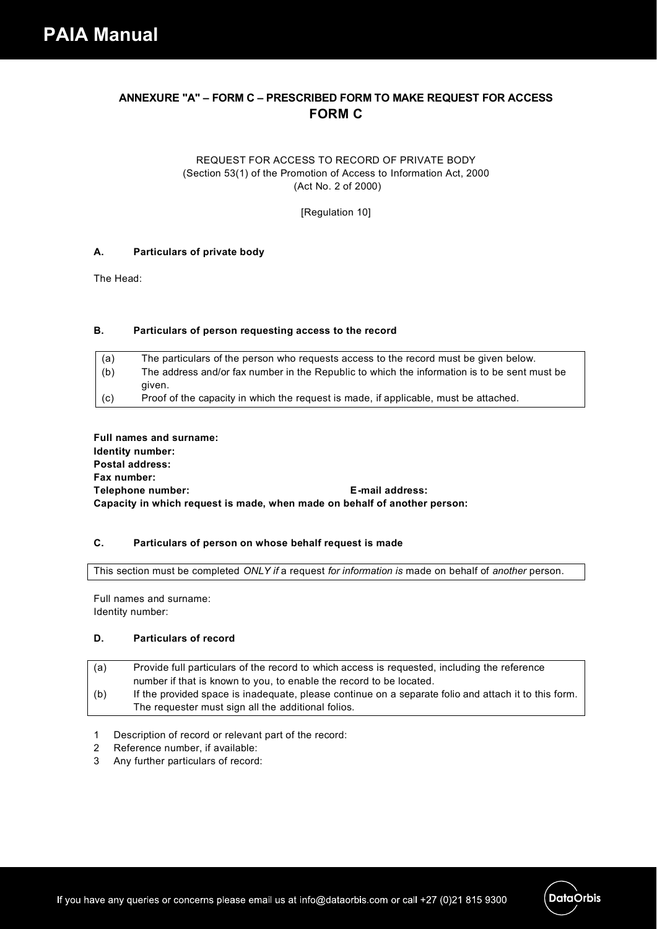## **ANNEXURE "A" – FORM C – PRESCRIBED FORM TO MAKE REQUEST FOR ACCESS FORM C**

#### REQUEST FOR ACCESS TO RECORD OF PRIVATE BODY (Section 53(1) of the Promotion of Access to Information Act, 2000 (Act No. 2 of 2000)

[Regulation 10]

#### **A. Particulars of private body**

The Head:

#### **B. Particulars of person requesting access to the record**

| (a)         | The particulars of the person who requests access to the record must be given below.         |
|-------------|----------------------------------------------------------------------------------------------|
| (b)         | The address and/or fax number in the Republic to which the information is to be sent must be |
|             | aiven.                                                                                       |
| $\vert$ (c) | Proof of the capacity in which the request is made, if applicable, must be attached.         |

**Full names and surname: Identity number: Postal address: Fax number: Telephone number: E-mail address: Capacity in which request is made, when made on behalf of another person:**

#### **C. Particulars of person on whose behalf request is made**

This section must be completed *ONLY if* a request *for information is* made on behalf of *another* person.

Full names and surname: Identity number:

#### **D. Particulars of record**

| (a) | Provide full particulars of the record to which access is requested, including the reference         |
|-----|------------------------------------------------------------------------------------------------------|
|     | number if that is known to you, to enable the record to be located.                                  |
| (b) | If the provided space is inadequate, please continue on a separate folio and attach it to this form. |
|     | The requester must sign all the additional folios.                                                   |

- 1 Description of record or relevant part of the record:
- 2 Reference number, if available:
- 3 Any further particulars of record:

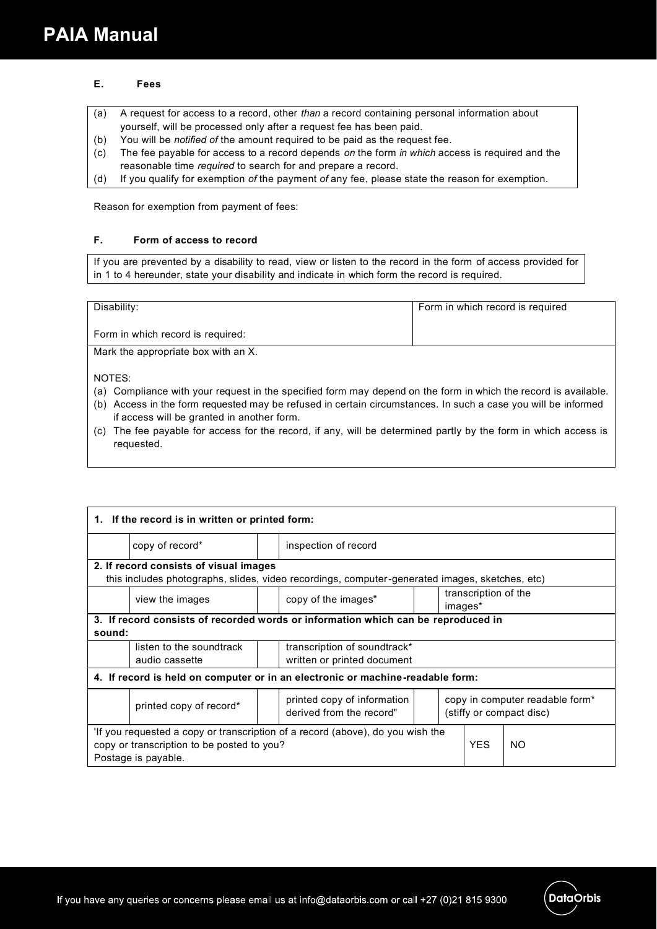#### **E. Fees**

- (a) A request for access to a record, other *than* a record containing personal information about yourself, will be processed only after a request fee has been paid.
- (b) You will be *notified of* the amount required to be paid as the request fee.
- (c) The fee payable for access to a record depends *on* the form *in which* access is required and the reasonable time *required* to search for and prepare a record.
- (d) If you qualify for exemption *of* the payment *of* any fee, please state the reason for exemption.

Reason for exemption from payment of fees:

#### **F. Form of access to record**

If you are prevented by a disability to read, view or listen to the record in the form of access provided for in 1 to 4 hereunder, state your disability and indicate in which form the record is required.

| Disability:                       | Form in which record is required |
|-----------------------------------|----------------------------------|
|                                   |                                  |
|                                   |                                  |
|                                   |                                  |
| Form in which record is required: |                                  |
|                                   |                                  |
| Mark the consensate how with an Y |                                  |

Mark the appropriate box with an X.

NOTES:

- (a) Compliance with your request in the specified form may depend on the form in which the record is available.
- (b) Access in the form requested may be refused in certain circumstances. In such a case you will be informed if access will be granted in another form.
- (c) The fee payable for access for the record, if any, will be determined partly by the form in which access is requested.

| 1. If the record is in written or printed form:                                                                                                               |                                        |  |                                                                                                |  |  |                      |  |
|---------------------------------------------------------------------------------------------------------------------------------------------------------------|----------------------------------------|--|------------------------------------------------------------------------------------------------|--|--|----------------------|--|
|                                                                                                                                                               | copy of record*                        |  | inspection of record                                                                           |  |  |                      |  |
|                                                                                                                                                               | 2. If record consists of visual images |  |                                                                                                |  |  |                      |  |
|                                                                                                                                                               |                                        |  | this includes photographs, slides, video recordings, computer-generated images, sketches, etc) |  |  |                      |  |
|                                                                                                                                                               |                                        |  |                                                                                                |  |  | transcription of the |  |
|                                                                                                                                                               | view the images                        |  | copy of the images"                                                                            |  |  | images*              |  |
|                                                                                                                                                               |                                        |  | 3. If record consists of recorded words or information which can be reproduced in              |  |  |                      |  |
| sound:                                                                                                                                                        |                                        |  |                                                                                                |  |  |                      |  |
|                                                                                                                                                               | listen to the soundtrack               |  | transcription of soundtrack*                                                                   |  |  |                      |  |
|                                                                                                                                                               | audio cassette                         |  | written or printed document                                                                    |  |  |                      |  |
| 4. If record is held on computer or in an electronic or machine-readable form:                                                                                |                                        |  |                                                                                                |  |  |                      |  |
| copy in computer readable form <sup>*</sup><br>printed copy of information<br>printed copy of record*<br>derived from the record"<br>(stiffy or compact disc) |                                        |  |                                                                                                |  |  |                      |  |
| If you requested a copy or transcription of a record (above), do you wish the                                                                                 |                                        |  |                                                                                                |  |  |                      |  |
| <b>YES</b><br>NO.<br>copy or transcription to be posted to you?                                                                                               |                                        |  |                                                                                                |  |  |                      |  |
| Postage is payable.                                                                                                                                           |                                        |  |                                                                                                |  |  |                      |  |



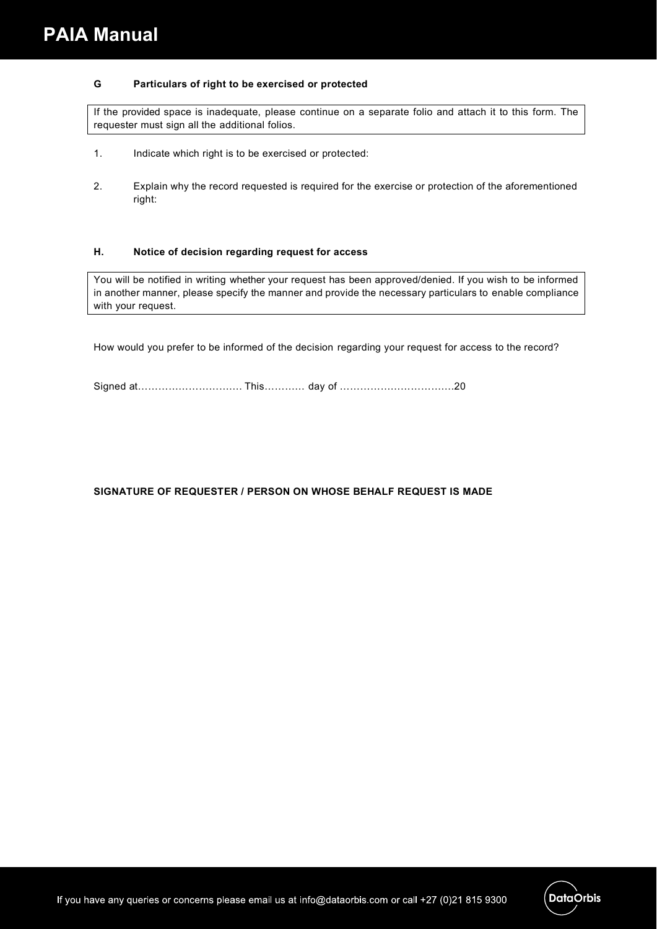#### **G Particulars of right to be exercised or protected**

If the provided space is inadequate, please continue on a separate folio and attach it to this form. The requester must sign all the additional folios.

- 1. Indicate which right is to be exercised or protected:
- 2. Explain why the record requested is required for the exercise or protection of the aforementioned right:

#### **H. Notice of decision regarding request for access**

You will be notified in writing whether your request has been approved/denied. If you wish to be informed in another manner, please specify the manner and provide the necessary particulars to enable compliance with your request.

How would you prefer to be informed of the decision regarding your request for access to the record?

#### **SIGNATURE OF REQUESTER / PERSON ON WHOSE BEHALF REQUEST IS MADE**

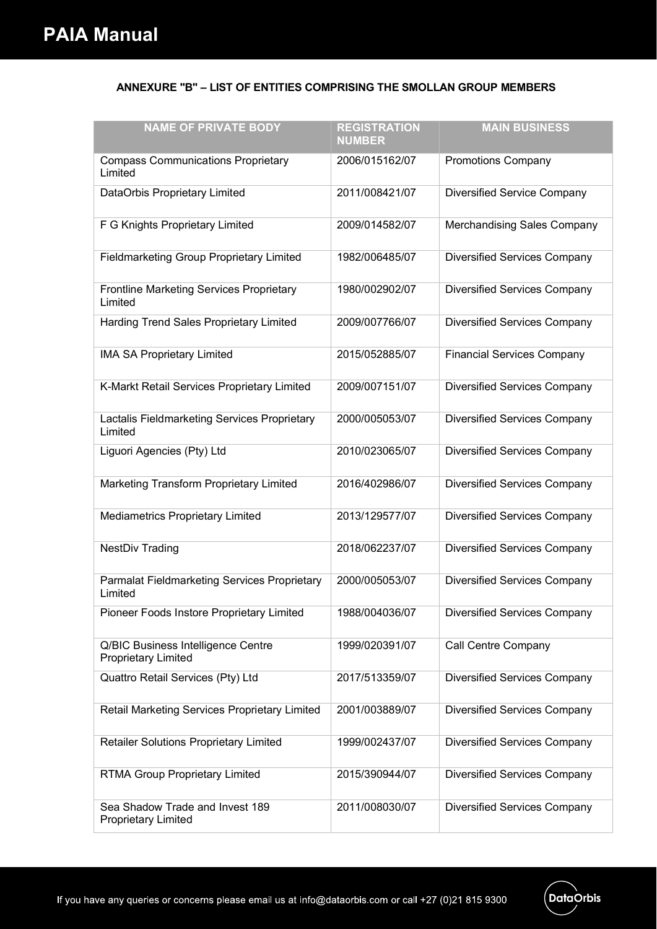### **ANNEXURE "B" – LIST OF ENTITIES COMPRISING THE SMOLLAN GROUP MEMBERS**

| <b>NAME OF PRIVATE BODY</b>                                      | <b>REGISTRATION</b><br><b>NUMBER</b> | <b>MAIN BUSINESS</b>                |
|------------------------------------------------------------------|--------------------------------------|-------------------------------------|
| <b>Compass Communications Proprietary</b><br>Limited             | 2006/015162/07                       | Promotions Company                  |
| DataOrbis Proprietary Limited                                    | 2011/008421/07                       | Diversified Service Company         |
| F G Knights Proprietary Limited                                  | 2009/014582/07                       | Merchandising Sales Company         |
| <b>Fieldmarketing Group Proprietary Limited</b>                  | 1982/006485/07                       | <b>Diversified Services Company</b> |
| Frontline Marketing Services Proprietary<br>Limited              | 1980/002902/07                       | <b>Diversified Services Company</b> |
| Harding Trend Sales Proprietary Limited                          | 2009/007766/07                       | <b>Diversified Services Company</b> |
| <b>IMA SA Proprietary Limited</b>                                | 2015/052885/07                       | <b>Financial Services Company</b>   |
| K-Markt Retail Services Proprietary Limited                      | 2009/007151/07                       | <b>Diversified Services Company</b> |
| Lactalis Fieldmarketing Services Proprietary<br>Limited          | 2000/005053/07                       | <b>Diversified Services Company</b> |
| Liguori Agencies (Pty) Ltd                                       | 2010/023065/07                       | <b>Diversified Services Company</b> |
| Marketing Transform Proprietary Limited                          | 2016/402986/07                       | <b>Diversified Services Company</b> |
| Mediametrics Proprietary Limited                                 | 2013/129577/07                       | <b>Diversified Services Company</b> |
| <b>NestDiv Trading</b>                                           | 2018/062237/07                       | <b>Diversified Services Company</b> |
| Parmalat Fieldmarketing Services Proprietary<br>Limited          | 2000/005053/07                       | <b>Diversified Services Company</b> |
| Pioneer Foods Instore Proprietary Limited                        | 1988/004036/07                       | <b>Diversified Services Company</b> |
| Q/BIC Business Intelligence Centre<br><b>Proprietary Limited</b> | 1999/020391/07                       | Call Centre Company                 |
| Quattro Retail Services (Pty) Ltd                                | 2017/513359/07                       | <b>Diversified Services Company</b> |
| Retail Marketing Services Proprietary Limited                    | 2001/003889/07                       | <b>Diversified Services Company</b> |
| Retailer Solutions Proprietary Limited                           | 1999/002437/07                       | <b>Diversified Services Company</b> |
| <b>RTMA Group Proprietary Limited</b>                            | 2015/390944/07                       | <b>Diversified Services Company</b> |
| Sea Shadow Trade and Invest 189<br><b>Proprietary Limited</b>    | 2011/008030/07                       | <b>Diversified Services Company</b> |